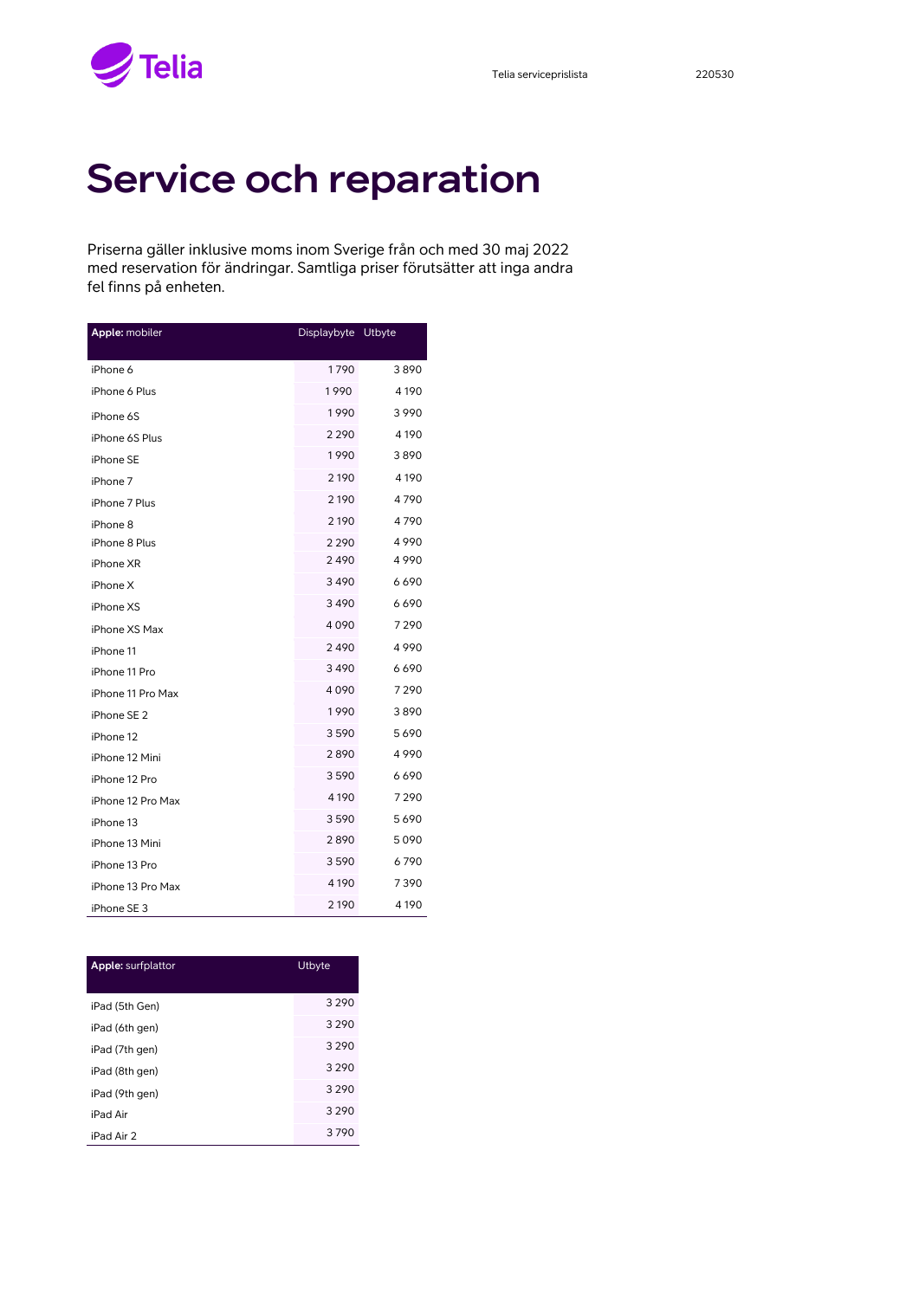$\blacktriangleright$  Telia

## Service och reparation

Priserna gäller inklusive moms inom Sverige från och med 30 maj 2022 med reservation för ändringar. Samtliga priser förutsätter att inga andra fel finns på enheten.

| Apple: mobiler    | Displaybyte | Utbyte  |
|-------------------|-------------|---------|
|                   |             |         |
| iPhone 6          | 1790        | 3890    |
| iPhone 6 Plus     | 1990        | 4 1 9 0 |
| iPhone 6S         | 1990        | 3990    |
| iPhone 6S Plus    | 2 2 9 0     | 4190    |
| iPhone SE         | 1990        | 3890    |
| iPhone 7          | 2 1 9 0     | 4190    |
| iPhone 7 Plus     | 2 1 9 0     | 4790    |
| iPhone 8          | 2 1 9 0     | 4790    |
| iPhone 8 Plus     | 2 2 9 0     | 4990    |
| iPhone XR         | 2490        | 4990    |
| iPhone X          | 3490        | 6690    |
| iPhone XS         | 3490        | 6690    |
| iPhone XS Max     | 4090        | 7290    |
| iPhone 11         | 2490        | 4990    |
| iPhone 11 Pro     | 3490        | 6690    |
| iPhone 11 Pro Max | 4090        | 7290    |
| iPhone SE 2       | 1990        | 3890    |
| iPhone 12         | 3590        | 5690    |
| iPhone 12 Mini    | 2890        | 4990    |
| iPhone 12 Pro     | 3590        | 6690    |
| iPhone 12 Pro Max | 4 1 9 0     | 7290    |
| iPhone 13         | 3590        | 5690    |
| iPhone 13 Mini    | 2890        | 5090    |
| iPhone 13 Pro     | 3590        | 6790    |
| iPhone 13 Pro Max | 4 1 9 0     | 7390    |
| iPhone SE 3       | 2 1 9 0     | 4 190   |

| <b>Apple: surfplattor</b> | Utbyte  |
|---------------------------|---------|
| iPad (5th Gen)            | 3 2 9 0 |
| iPad (6th gen)            | 3 2 9 0 |
| iPad (7th gen)            | 3 2 9 0 |
| iPad (8th gen)            | 3 2 9 0 |
| iPad (9th gen)            | 3 2 9 0 |
| iPad Air                  | 3 2 9 0 |
| iPad Air 2                | 3790    |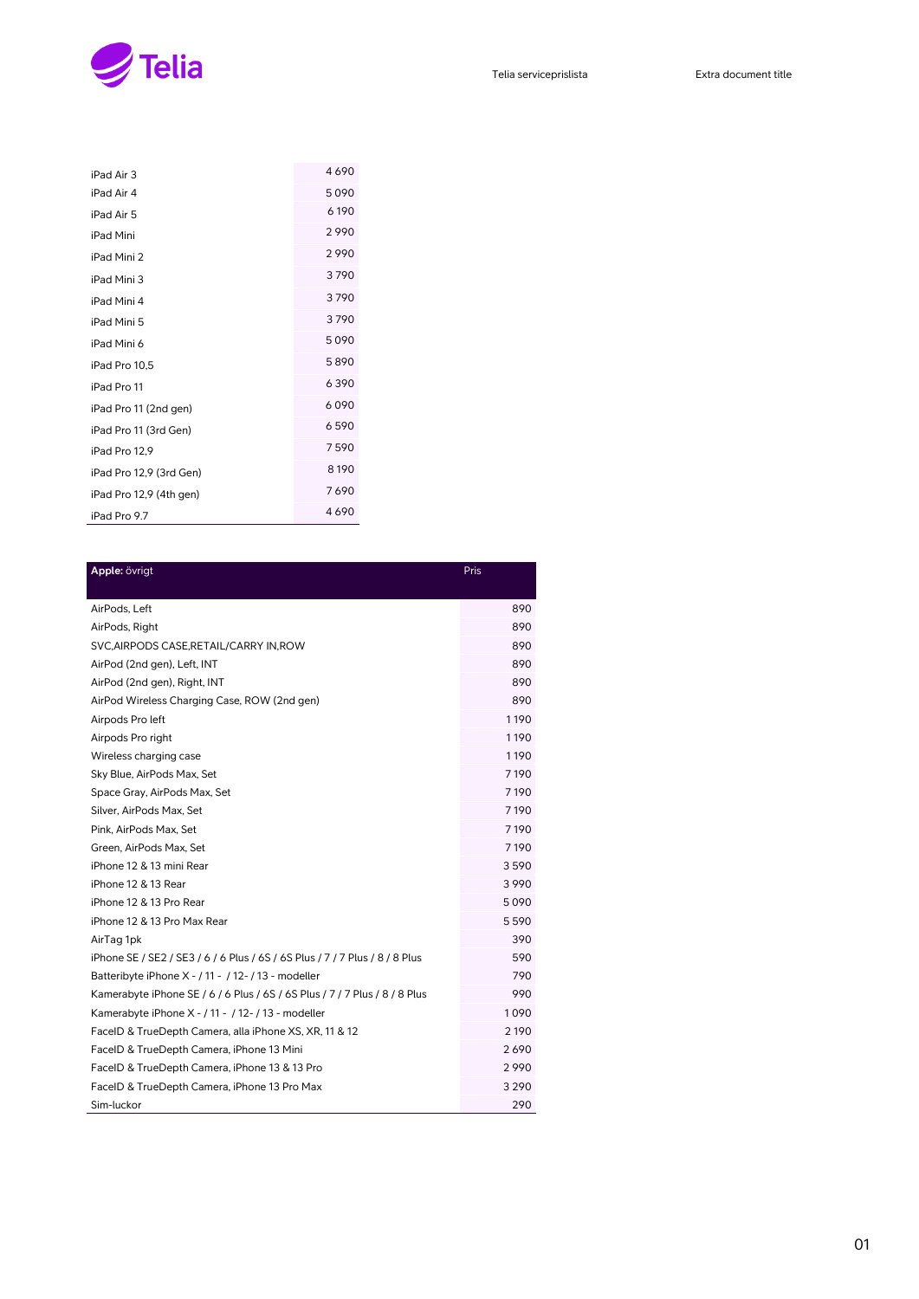

| iPad Air 3              | 4690  |
|-------------------------|-------|
| iPad Air 4              | 5090  |
| iPad Air 5              | 6190  |
| iPad Mini               | 2990  |
| iPad Mini 2             | 2990  |
| iPad Mini 3             | 3790  |
| iPad Mini 4             | 3790  |
| iPad Mini 5             | 3790  |
| iPad Mini 6             | 5090  |
| iPad Pro 10.5           | 5890  |
| iPad Pro 11             | 6390  |
| iPad Pro 11 (2nd gen)   | 6090  |
| iPad Pro 11 (3rd Gen)   | 6590  |
| iPad Pro 12.9           | 7590  |
| iPad Pro 12,9 (3rd Gen) | 8190  |
| iPad Pro 12,9 (4th gen) | 7690  |
| iPad Pro 9.7            | 46690 |

| Apple: övrigt                                                               | <b>Pris</b> |
|-----------------------------------------------------------------------------|-------------|
|                                                                             |             |
| AirPods, Left                                                               | 890         |
| AirPods, Right                                                              | 890         |
| SVC, AIRPODS CASE, RETAIL/CARRY IN, ROW                                     | 890         |
| AirPod (2nd gen), Left, INT                                                 | 890         |
| AirPod (2nd gen), Right, INT                                                | 890         |
| AirPod Wireless Charging Case, ROW (2nd gen)                                | 890         |
| Airpods Pro left                                                            | 1190        |
| Airpods Pro right                                                           | 1190        |
| Wireless charging case                                                      | 1190        |
| Sky Blue, AirPods Max, Set                                                  | 7190        |
| Space Gray, AirPods Max, Set                                                | 7190        |
| Silver, AirPods Max, Set                                                    | 7190        |
| Pink, AirPods Max, Set                                                      | 7190        |
| Green, AirPods Max, Set                                                     | 7190        |
| iPhone 12 & 13 mini Rear                                                    | 3590        |
| iPhone 12 & 13 Rear                                                         | 3990        |
| iPhone 12 & 13 Pro Rear                                                     | 5090        |
| iPhone 12 & 13 Pro Max Rear                                                 | 5590        |
| AirTag 1pk                                                                  | 390         |
| iPhone SE / SE2 / SE3 / 6 / 6 Plus / 6S / 6S Plus / 7 / 7 Plus / 8 / 8 Plus | 590         |
| Batteribyte iPhone X - / 11 - / 12-/ 13 - modeller                          | 790         |
| Kamerabyte iPhone SE / 6 / 6 Plus / 6S / 6S Plus / 7 / 7 Plus / 8 / 8 Plus  | 990         |
| Kamerabyte iPhone X - / 11 - / 12- / 13 - modeller                          | 1090        |
| FacelD & TrueDepth Camera, alla iPhone XS, XR, 11 & 12                      | 2 1 9 0     |
| FacelD & TrueDepth Camera, iPhone 13 Mini                                   | 2690        |
| FaceID & TrueDepth Camera, iPhone 13 & 13 Pro                               | 2990        |
| FacelD & TrueDepth Camera, iPhone 13 Pro Max                                | 3 2 9 0     |
| Sim-luckor                                                                  | 290         |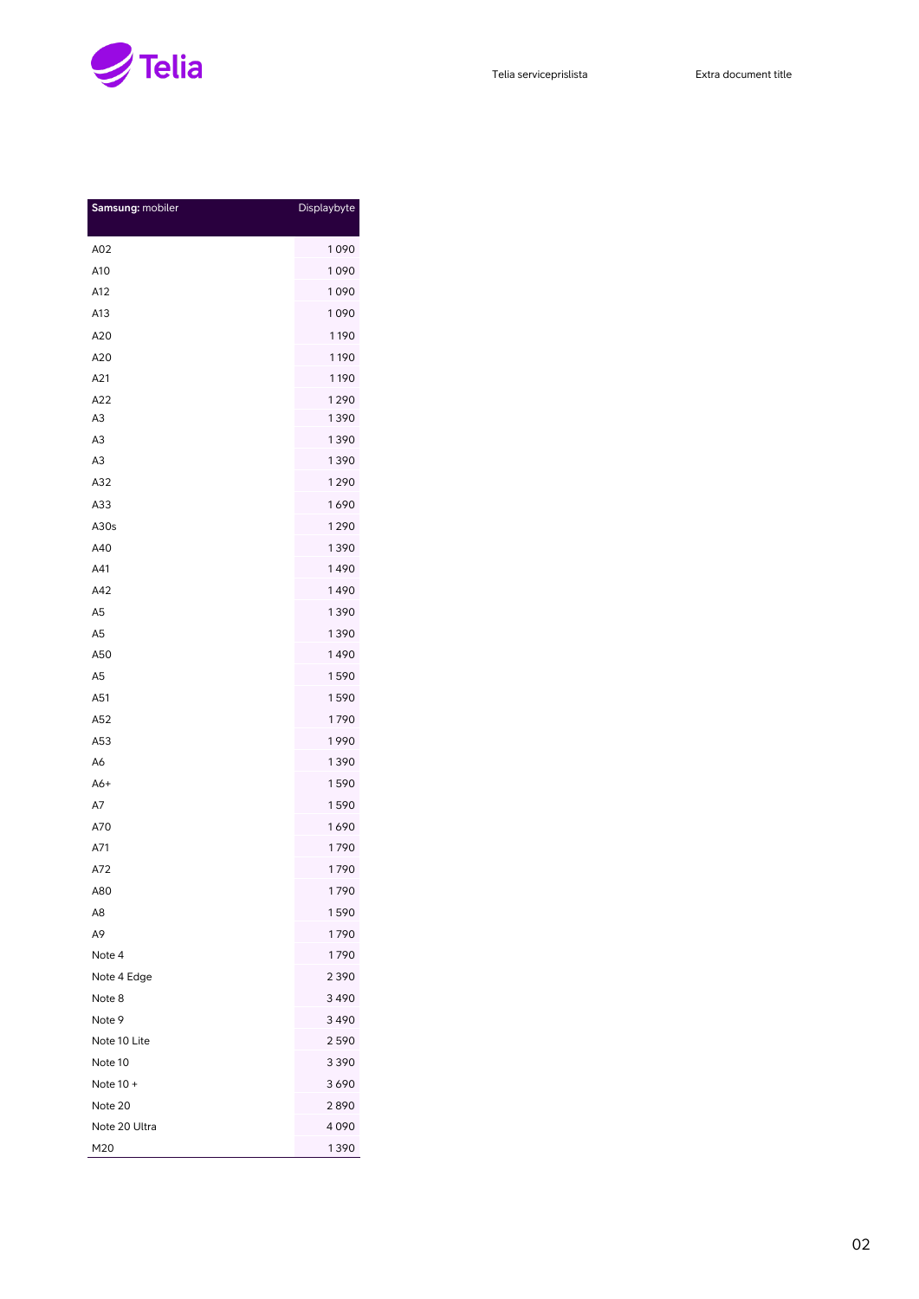

| Samsung: mobiler | Displaybyte |
|------------------|-------------|
|                  |             |
| A02              | 1090        |
| A10              | 1090        |
| A12              | 1090        |
| A13              | 1090        |
| A20              | 1190        |
| A20              | 1190        |
| A21              | 1190        |
| A22              | 1290        |
| A3               | 1390        |
| A3               | 1390        |
| A3               | 1390        |
| A32              | 1290        |
| A33              | 1690        |
| A30s             | 1290        |
| A40              | 1390        |
| A41              | 1490        |
| A42              | 1490        |
| A <sub>5</sub>   | 1390        |
| A <sub>5</sub>   | 1390        |
| A50              | 1490        |
| A <sub>5</sub>   | 1590        |
| A51              | 1590        |
| A52              | 1790        |
| A53              | 1990        |
| A6               | 1390        |
| A6+              | 1590        |
| A7               | 1590        |
| A70              | 1690        |
| A71              | 1790        |
| A72              | 1790        |
| A80              | 1790        |
| A8               | 1590        |
| А9               | 1790        |
| Note 4           | 1790        |
| Note 4 Edge      | 2390        |
| Note 8           | 3490        |
| Note 9           | 3490        |
| Note 10 Lite     | 2590        |
| Note 10          | 3390        |
| Note 10 +        | 3690        |
| Note 20          | 2890        |
| Note 20 Ultra    | 4090        |
| M20              | 1390        |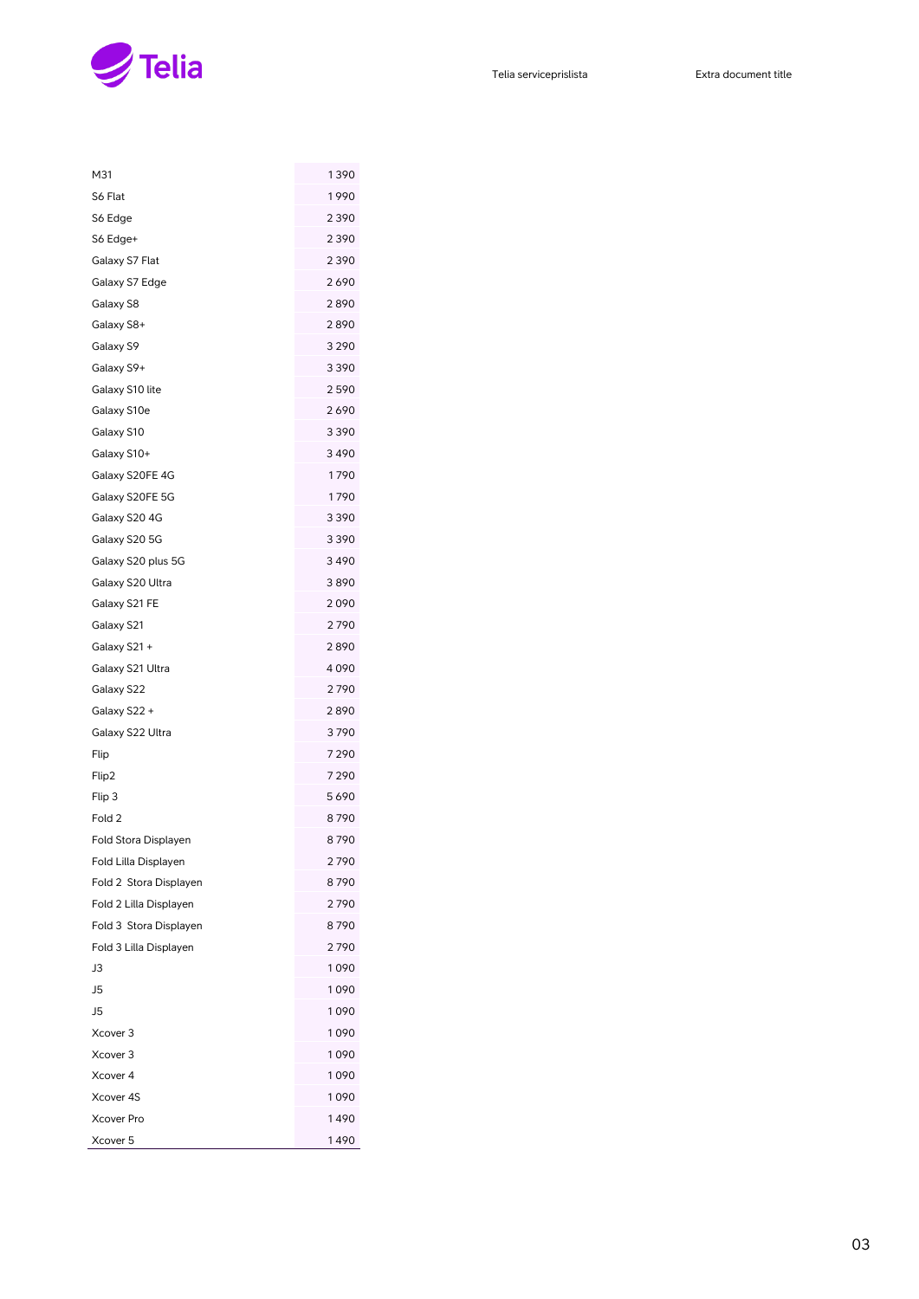

| M31                    | 1390 |
|------------------------|------|
| S6 Flat                | 1990 |
| S6 Edge                | 2390 |
| S6 Edge+               | 2390 |
| Galaxy S7 Flat         | 2390 |
| Galaxy S7 Edge         | 2690 |
| Galaxy S8              | 2890 |
| Galaxy S8+             | 2890 |
| Galaxy S9              | 3290 |
| Galaxy S9+             | 3390 |
| Galaxy S10 lite        | 2590 |
| Galaxy S10e            | 2690 |
| Galaxy S10             | 3390 |
| Galaxy S10+            | 3490 |
| Galaxy S20FE 4G        | 1790 |
| Galaxy S20FE 5G        | 1790 |
| Galaxy S20 4G          | 3390 |
| Galaxy S20 5G          | 3390 |
| Galaxy S20 plus 5G     | 3490 |
| Galaxy S20 Ultra       | 3890 |
| Galaxy S21 FE          | 2090 |
| Galaxy S21             | 2790 |
| Galaxy S21 +           | 2890 |
| Galaxy S21 Ultra       | 4090 |
| Galaxy S22             | 2790 |
| Galaxy S22 +           | 2890 |
| Galaxy S22 Ultra       | 3790 |
| Flip                   | 7290 |
| Flip2                  | 7290 |
| Flip 3                 | 5690 |
| Fold 2                 | 8790 |
| Fold Stora Displayen   | 8790 |
| Fold Lilla Displayen   | 2790 |
| Fold 2 Stora Displayen | 8790 |
| Fold 2 Lilla Displayen | 2790 |
| Fold 3 Stora Displayen | 8790 |
| Fold 3 Lilla Displayen | 2790 |
| JЗ                     | 1090 |
| J5                     | 1090 |
| J <sub>5</sub>         | 1090 |
| Xcover 3               | 1090 |
| Xcover 3               | 1090 |
| Xcover 4               | 1090 |
| Xcover 4S              | 1090 |
| <b>Xcover Pro</b>      | 1490 |
| Xcover 5               | 1490 |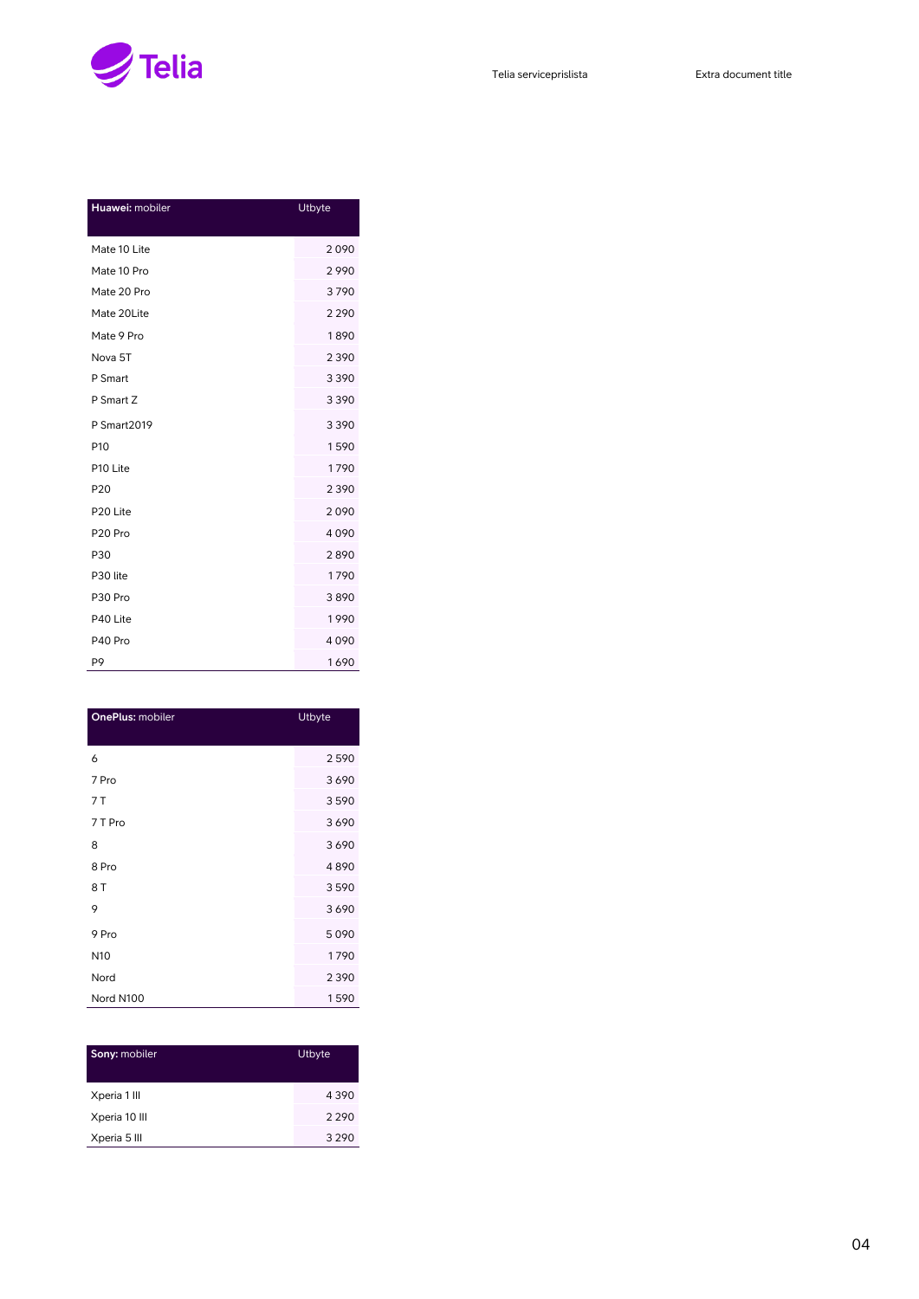

| Huawei: mobiler      | Utbyte  |
|----------------------|---------|
| Mate 10 Lite         | 2090    |
| Mate 10 Pro          | 2990    |
| Mate 20 Pro          | 3790    |
| Mate 20Lite          | 2 2 9 0 |
| Mate 9 Pro           | 1890    |
| Nova 5T              | 2390    |
| P Smart              | 3390    |
| P Smart Z            | 3390    |
| <b>P Smart2019</b>   | 3390    |
| P <sub>10</sub>      | 1590    |
| P10 Lite             | 1790    |
| P <sub>20</sub>      | 2390    |
| P <sub>20</sub> Lite | 2090    |
| P <sub>20</sub> Pro  | 4090    |
| P30                  | 2890    |
| P30 lite             | 1790    |
| P30 Pro              | 3890    |
| P40 Lite             | 1990    |
| P40 Pro              | 4090    |
| P9                   | 1690    |

| OnePlus: mobiler | <b>Utbyte</b> |
|------------------|---------------|
| 6                | 2590          |
| 7 Pro            | 3690          |
| 7 T              | 3590          |
| 7 T Pro          | 3690          |
| 8                | 3690          |
| 8 Pro            | 4890          |
| 8 T              | 3590          |
| 9                | 3690          |
| 9 Pro            | 5090          |
| N <sub>10</sub>  | 1790          |
| Nord             | 2390          |
| Nord N100        | 1590          |

| Sony: mobiler | Utbyte  |
|---------------|---------|
| Xperia 1 III  | 4390    |
| Xperia 10 III | 2 2 9 0 |
| Xperia 5 III  | 3 2 9 0 |